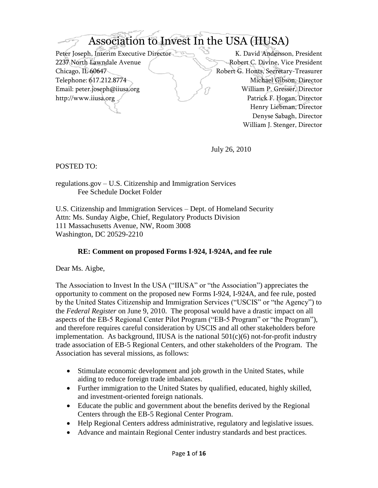# Association to Invest In the USA (IIUSA)

Peter Joseph, Interim Executive Director K. David Andersson, President 2237 North Lawndale Avenue Robert C. Divine, Vice President Chicago, IL 60647 Robert G. Honts, Secretary-Treasurer Telephone: 617.212.8774 Michael Gibson, Director Email: peter.joseph@iiusa.org William P. Gresser, Director http://www.iiusa.org Patrick F. Hogan, Director

Henry Liebman, Director Denyse Sabagh, Director William J. Stenger, Director

July 26, 2010

POSTED TO:

regulations.gov – U.S. Citizenship and Immigration Services Fee Schedule Docket Folder

U.S. Citizenship and Immigration Services – Dept. of Homeland Security Attn: Ms. Sunday Aigbe, Chief, Regulatory Products Division 111 Massachusetts Avenue, NW, Room 3008 Washington, DC 20529-2210

#### **RE: Comment on proposed Forms I-924, I-924A, and fee rule**

Dear Ms. Aigbe,

The Association to Invest In the USA ("IIUSA" or "the Association") appreciates the opportunity to comment on the proposed new Forms I-924, I-924A, and fee rule, posted by the United States Citizenship and Immigration Services ("USCIS" or "the Agency") to the *Federal Register* on June 9, 2010. The proposal would have a drastic impact on all aspects of the EB-5 Regional Center Pilot Program ("EB-5 Program" or "the Program"), and therefore requires careful consideration by USCIS and all other stakeholders before implementation. As background, IIUSA is the national  $501(c)(6)$  not-for-profit industry trade association of EB-5 Regional Centers, and other stakeholders of the Program. The Association has several missions, as follows:

- Stimulate economic development and job growth in the United States, while aiding to reduce foreign trade imbalances.
- Further immigration to the United States by qualified, educated, highly skilled, and investment-oriented foreign nationals.
- Educate the public and government about the benefits derived by the Regional Centers through the EB-5 Regional Center Program.
- Help Regional Centers address administrative, regulatory and legislative issues.
- Advance and maintain Regional Center industry standards and best practices.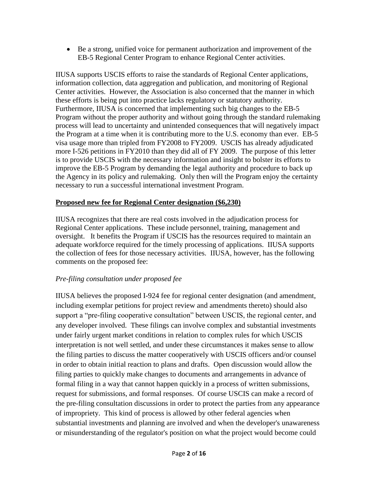Be a strong, unified voice for permanent authorization and improvement of the EB-5 Regional Center Program to enhance Regional Center activities.

IIUSA supports USCIS efforts to raise the standards of Regional Center applications, information collection, data aggregation and publication, and monitoring of Regional Center activities. However, the Association is also concerned that the manner in which these efforts is being put into practice lacks regulatory or statutory authority. Furthermore, IIUSA is concerned that implementing such big changes to the EB-5 Program without the proper authority and without going through the standard rulemaking process will lead to uncertainty and unintended consequences that will negatively impact the Program at a time when it is contributing more to the U.S. economy than ever. EB-5 visa usage more than tripled from FY2008 to FY2009. USCIS has already adjudicated more I-526 petitions in FY2010 than they did all of FY 2009. The purpose of this letter is to provide USCIS with the necessary information and insight to bolster its efforts to improve the EB-5 Program by demanding the legal authority and procedure to back up the Agency in its policy and rulemaking. Only then will the Program enjoy the certainty necessary to run a successful international investment Program.

#### **Proposed new fee for Regional Center designation (\$6,230)**

IIUSA recognizes that there are real costs involved in the adjudication process for Regional Center applications. These include personnel, training, management and oversight. It benefits the Program if USCIS has the resources required to maintain an adequate workforce required for the timely processing of applications. IIUSA supports the collection of fees for those necessary activities. IIUSA, however, has the following comments on the proposed fee:

## *Pre-filing consultation under proposed fee*

IIUSA believes the proposed I-924 fee for regional center designation (and amendment, including exemplar petitions for project review and amendments thereto) should also support a "pre-filing cooperative consultation" between USCIS, the regional center, and any developer involved. These filings can involve complex and substantial investments under fairly urgent market conditions in relation to complex rules for which USCIS interpretation is not well settled, and under these circumstances it makes sense to allow the filing parties to discuss the matter cooperatively with USCIS officers and/or counsel in order to obtain initial reaction to plans and drafts. Open discussion would allow the filing parties to quickly make changes to documents and arrangements in advance of formal filing in a way that cannot happen quickly in a process of written submissions, request for submissions, and formal responses. Of course USCIS can make a record of the pre-filing consultation discussions in order to protect the parties from any appearance of impropriety. This kind of process is allowed by other federal agencies when substantial investments and planning are involved and when the developer's unawareness or misunderstanding of the regulator's position on what the project would become could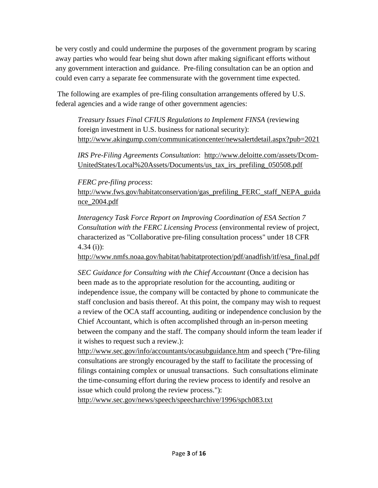be very costly and could undermine the purposes of the government program by scaring away parties who would fear being shut down after making significant efforts without any government interaction and guidance. Pre-filing consultation can be an option and could even carry a separate fee commensurate with the government time expected.

The following are examples of pre-filing consultation arrangements offered by U.S. federal agencies and a wide range of other government agencies:

*Treasury Issues Final CFIUS Regulations to Implement FINSA* (reviewing foreign investment in U.S. business for national security): <http://www.akingump.com/communicationcenter/newsalertdetail.aspx?pub=2021>

*IRS Pre-Filing Agreements Consultation*: [http://www.deloitte.com/assets/Dcom-](http://www.deloitte.com/assets/Dcom-UnitedStates/Local%20Assets/Documents/us_tax_irs_prefiling_050508.pdf)[UnitedStates/Local%20Assets/Documents/us\\_tax\\_irs\\_prefiling\\_050508.pdf](http://www.deloitte.com/assets/Dcom-UnitedStates/Local%20Assets/Documents/us_tax_irs_prefiling_050508.pdf)

*FERC pre-filing process*:

[http://www.fws.gov/habitatconservation/gas\\_prefiling\\_FERC\\_staff\\_NEPA\\_guida](http://www.fws.gov/habitatconservation/gas_prefiling_FERC_staff_NEPA_guidance_2004.pdf) [nce\\_2004.pdf](http://www.fws.gov/habitatconservation/gas_prefiling_FERC_staff_NEPA_guidance_2004.pdf) 

*Interagency Task Force Report on Improving Coordination of ESA Section 7 Consultation with the FERC Licensing Process* (environmental review of project, characterized as "Collaborative pre-filing consultation process" under 18 CFR 4.34 (i)):

[http://www.nmfs.noaa.gov/habitat/habitatprotection/pdf/anadfish/itf/esa\\_final.pdf](http://www.nmfs.noaa.gov/habitat/habitatprotection/pdf/anadfish/itf/esa_final.pdf)

*SEC Guidance for Consulting with the Chief Accountant* (Once a decision has been made as to the appropriate resolution for the accounting, auditing or independence issue, the company will be contacted by phone to communicate the staff conclusion and basis thereof. At this point, the company may wish to request a review of the OCA staff accounting, auditing or independence conclusion by the Chief Accountant, which is often accomplished through an in-person meeting between the company and the staff. The company should inform the team leader if it wishes to request such a review.):

<http://www.sec.gov/info/accountants/ocasubguidance.htm> and speech ("Pre-filing consultations are strongly encouraged by the staff to facilitate the processing of filings containing complex or unusual transactions. Such consultations eliminate the time-consuming effort during the review process to identify and resolve an issue which could prolong the review process."):

<http://www.sec.gov/news/speech/speecharchive/1996/spch083.txt>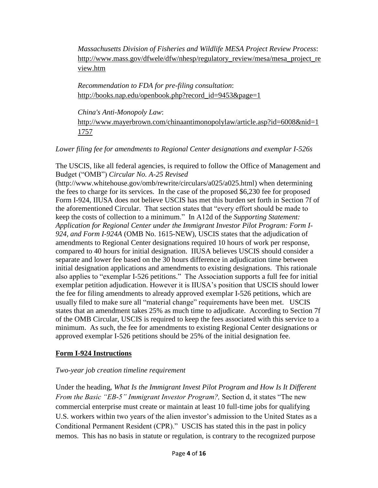*Massachusetts Division of Fisheries and Wildlife MESA Project Review Process*: [http://www.mass.gov/dfwele/dfw/nhesp/regulatory\\_review/mesa/mesa\\_project\\_re](http://www.mass.gov/dfwele/dfw/nhesp/regulatory_review/mesa/mesa_project_review.htm) [view.htm](http://www.mass.gov/dfwele/dfw/nhesp/regulatory_review/mesa/mesa_project_review.htm)

*Recommendation to FDA for pre-filing consultation*: [http://books.nap.edu/openbook.php?record\\_id=9453&page=1](http://books.nap.edu/openbook.php?record_id=9453&page=1)

*China's Anti-Monopoly Law*: [http://www.mayerbrown.com/chinaantimonopolylaw/article.asp?id=6008&nid=1](http://www.mayerbrown.com/chinaantimonopolylaw/article.asp?id=6008&nid=11757) [1757](http://www.mayerbrown.com/chinaantimonopolylaw/article.asp?id=6008&nid=11757)

*Lower filing fee for amendments to Regional Center designations and exemplar I-526s*

The USCIS, like all federal agencies, is required to follow the Office of Management and Budget ("OMB") *Circular No. A-25 Revised* 

(http://www.whitehouse.gov/omb/rewrite/circulars/a025/a025.html) when determining the fees to charge for its services. In the case of the proposed \$6,230 fee for proposed Form I-924, IIUSA does not believe USCIS has met this burden set forth in Section 7f of the aforementioned Circular. That section states that "every effort should be made to keep the costs of collection to a minimum." In A12d of the *Supporting Statement*: *Application for Regional Center under the Immigrant Investor Pilot Program: Form I-924, and Form I-924A* (OMB No. 1615-NEW), USCIS states that the adjudication of amendments to Regional Center designations required 10 hours of work per response, compared to 40 hours for initial designation. IIUSA believes USCIS should consider a separate and lower fee based on the 30 hours difference in adjudication time between initial designation applications and amendments to existing designations. This rationale also applies to "exemplar I-526 petitions." The Association supports a full fee for initial exemplar petition adjudication. However it is IIUSA's position that USCIS should lower the fee for filing amendments to already approved exemplar I-526 petitions, which are usually filed to make sure all "material change" requirements have been met. USCIS states that an amendment takes 25% as much time to adjudicate. According to Section 7f of the OMB Circular, USCIS is required to keep the fees associated with this service to a minimum. As such, the fee for amendments to existing Regional Center designations or approved exemplar I-526 petitions should be 25% of the initial designation fee.

## **Form I-924 Instructions**

## *Two-year job creation timeline requirement*

Under the heading, *What Is the Immigrant Invest Pilot Program and How Is It Different From the Basic "EB-5" Immigrant Investor Program?, Section d, it states "The new* commercial enterprise must create or maintain at least 10 full-time jobs for qualifying U.S. workers within two years of the alien investor's admission to the United States as a Conditional Permanent Resident (CPR)." USCIS has stated this in the past in policy memos. This has no basis in statute or regulation, is contrary to the recognized purpose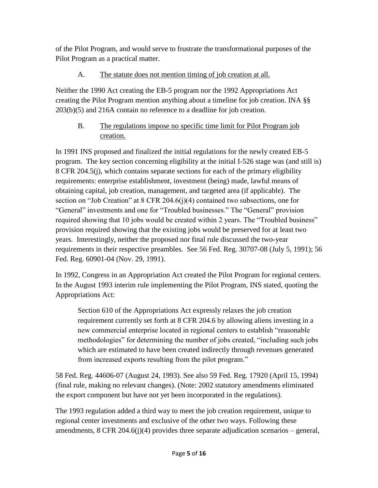of the Pilot Program, and would serve to frustrate the transformational purposes of the Pilot Program as a practical matter.

# A. The statute does not mention timing of job creation at all.

Neither the 1990 Act creating the EB-5 program nor the 1992 Appropriations Act creating the Pilot Program mention anything about a timeline for job creation. INA §§ 203(b)(5) and 216A contain no reference to a deadline for job creation.

# B. The regulations impose no specific time limit for Pilot Program job creation.

In 1991 INS proposed and finalized the initial regulations for the newly created EB-5 program. The key section concerning eligibility at the initial I-526 stage was (and still is) 8 CFR 204.5(j), which contains separate sections for each of the primary eligibility requirements: enterprise establishment, investment (being) made, lawful means of obtaining capital, job creation, management, and targeted area (if applicable). The section on "Job Creation" at  $8$  CFR 204.6(j)(4) contained two subsections, one for "General" investments and one for "Troubled businesses." The "General" provision required showing that 10 jobs would be created within 2 years. The "Troubled business" provision required showing that the existing jobs would be preserved for at least two years. Interestingly, neither the proposed nor final rule discussed the two-year requirements in their respective preambles. See 56 Fed. Reg. 30707-08 (July 5, 1991); 56 Fed. Reg. 60901-04 (Nov. 29, 1991).

In 1992, Congress in an Appropriation Act created the Pilot Program for regional centers. In the August 1993 interim rule implementing the Pilot Program, INS stated, quoting the Appropriations Act:

Section 610 of the Appropriations Act expressly relaxes the job creation requirement currently set forth at 8 CFR 204.6 by allowing aliens investing in a new commercial enterprise located in regional centers to establish "reasonable" methodologies" for determining the number of jobs created, "including such jobs which are estimated to have been created indirectly through revenues generated from increased exports resulting from the pilot program."

58 Fed. Reg. 44606-07 (August 24, 1993). See also 59 Fed. Reg. 17920 (April 15, 1994) (final rule, making no relevant changes). (Note: 2002 statutory amendments eliminated the export component but have not yet been incorporated in the regulations).

The 1993 regulation added a third way to meet the job creation requirement, unique to regional center investments and exclusive of the other two ways. Following these amendments,  $8 \text{ CFR } 204.6$ (j)(4) provides three separate adjudication scenarios – general,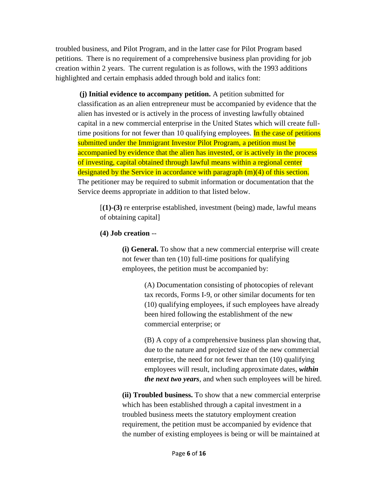troubled business, and Pilot Program, and in the latter case for Pilot Program based petitions. There is no requirement of a comprehensive business plan providing for job creation within 2 years. The current regulation is as follows, with the 1993 additions highlighted and certain emphasis added through bold and italics font:

**(j) Initial evidence to accompany petition.** A petition submitted for classification as an alien entrepreneur must be accompanied by evidence that the alien has invested or is actively in the process of investing lawfully obtained capital in a new commercial enterprise in the United States which will create fulltime positions for not fewer than 10 qualifying employees. In the case of petitions submitted under the Immigrant Investor Pilot Program, a petition must be accompanied by evidence that the alien has invested, or is actively in the process of investing, capital obtained through lawful means within a regional center designated by the Service in accordance with paragraph (m)(4) of this section. The petitioner may be required to submit information or documentation that the Service deems appropriate in addition to that listed below.

[**(1)-(3)** re enterprise established, investment (being) made, lawful means of obtaining capital]

#### **(4) Job creation** --

**(i) General.** To show that a new commercial enterprise will create not fewer than ten (10) full-time positions for qualifying employees, the petition must be accompanied by:

> (A) Documentation consisting of photocopies of relevant tax records, Forms I-9, or other similar documents for ten (10) qualifying employees, if such employees have already been hired following the establishment of the new commercial enterprise; or

(B) A copy of a comprehensive business plan showing that, due to the nature and projected size of the new commercial enterprise, the need for not fewer than ten (10) qualifying employees will result, including approximate dates, *within the next two years*, and when such employees will be hired.

**(ii) Troubled business.** To show that a new commercial enterprise which has been established through a capital investment in a troubled business meets the statutory employment creation requirement, the petition must be accompanied by evidence that the number of existing employees is being or will be maintained at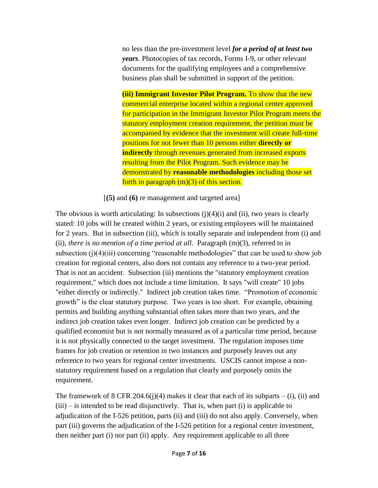no less than the pre-investment level *for a period of at least two years*. Photocopies of tax records, Forms I-9, or other relevant documents for the qualifying employees and a comprehensive business plan shall be submitted in support of the petition.

**(iii) Immigrant Investor Pilot Program.** To show that the new commercial enterprise located within a regional center approved for participation in the Immigrant Investor Pilot Program meets the statutory employment creation requirement, the petition must be accompanied by evidence that the investment will create full-time positions for not fewer than 10 persons either **directly or indirectly** through revenues generated from increased exports resulting from the Pilot Program. Such evidence may be demonstrated by **reasonable methodologies** including those set forth in paragraph (m)(3) of this section.

[**(5)** and **(6)** re management and targeted area]

The obvious is worth articulating: In subsections  $(i)(4)(i)$  and  $(ii)$ , two years is clearly stated: 10 jobs will be created within 2 years, or existing employees will be maintained for 2 years. But in subsection (iii), which is totally separate and independent from (i) and (ii), *there is no mention of a time period at all*. Paragraph  $(m)(3)$ , referred to in subsection  $(j)(4)(iii)$  concerning "reasonable methodologies" that can be used to show job creation for regional centers, also does not contain any reference to a two-year period. That is not an accident. Subsection (iii) mentions the "statutory employment creation requirement," which does not include a time limitation. It says "will create" 10 jobs "either directly or indirectly." Indirect job creation takes time. "Promotion of economic growth" is the clear statutory purpose. Two years is too short. For example, obtaining permits and building anything substantial often takes more than two years, and the indirect job creation takes even longer. Indirect job creation can be predicted by a qualified economist but is not normally measured as of a particular time period, because it is not physically connected to the target investment. The regulation imposes time frames for job creation or retention in two instances and purposely leaves out any reference to two years for regional center investments. USCIS cannot impose a nonstatutory requirement based on a regulation that clearly and purposely omits the requirement.

The framework of 8 CFR 204.6(j)(4) makes it clear that each of its subparts – (i), (ii) and  $(iii)$  – is intended to be read disjunctively. That is, when part  $(i)$  is applicable to adjudication of the I-526 petition, parts (ii) and (iii) do not also apply. Conversely, when part (iii) governs the adjudication of the I-526 petition for a regional center investment, then neither part (i) nor part (ii) apply. Any requirement applicable to all three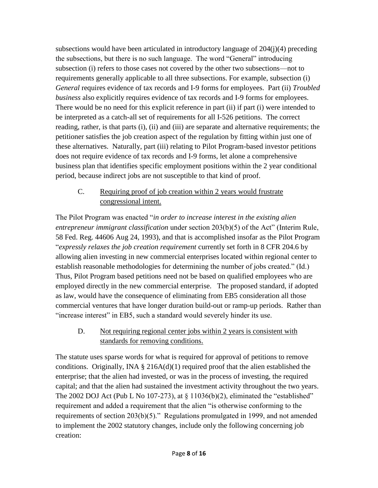subsections would have been articulated in introductory language of  $204(i)(4)$  preceding the subsections, but there is no such language. The word "General" introducing subsection (i) refers to those cases not covered by the other two subsections—not to requirements generally applicable to all three subsections. For example, subsection (i) *General* requires evidence of tax records and I-9 forms for employees. Part (ii) *Troubled business* also explicitly requires evidence of tax records and I-9 forms for employees. There would be no need for this explicit reference in part (ii) if part (i) were intended to be interpreted as a catch-all set of requirements for all I-526 petitions. The correct reading, rather, is that parts (i), (ii) and (iii) are separate and alternative requirements; the petitioner satisfies the job creation aspect of the regulation by fitting within just one of these alternatives. Naturally, part (iii) relating to Pilot Program-based investor petitions does not require evidence of tax records and I-9 forms, let alone a comprehensive business plan that identifies specific employment positions within the 2 year conditional period, because indirect jobs are not susceptible to that kind of proof.

# C. Requiring proof of job creation within 2 years would frustrate congressional intent.

The Pilot Program was enacted "*in order to increase interest in the existing alien entrepreneur immigrant classification* under section 203(b)(5) of the Act" (Interim Rule, 58 Fed. Reg. 44606 Aug 24, 1993), and that is accomplished insofar as the Pilot Program ―*expressly relaxes the job creation requirement* currently set forth in 8 CFR 204.6 by allowing alien investing in new commercial enterprises located within regional center to establish reasonable methodologies for determining the number of jobs created." (Id.) Thus, Pilot Program based petitions need not be based on qualified employees who are employed directly in the new commercial enterprise. The proposed standard, if adopted as law, would have the consequence of eliminating from EB5 consideration all those commercial ventures that have longer duration build-out or ramp-up periods. Rather than "increase interest" in EB5, such a standard would severely hinder its use.

## D. Not requiring regional center jobs within 2 years is consistent with standards for removing conditions.

The statute uses sparse words for what is required for approval of petitions to remove conditions. Originally, INA  $\S$  216A(d)(1) required proof that the alien established the enterprise; that the alien had invested, or was in the process of investing, the required capital; and that the alien had sustained the investment activity throughout the two years. The 2002 DOJ Act (Pub L No 107-273), at  $\S$  11036(b)(2), eliminated the "established" requirement and added a requirement that the alien "is otherwise conforming to the requirements of section  $203(b)(5)$ ." Regulations promulgated in 1999, and not amended to implement the 2002 statutory changes, include only the following concerning job creation: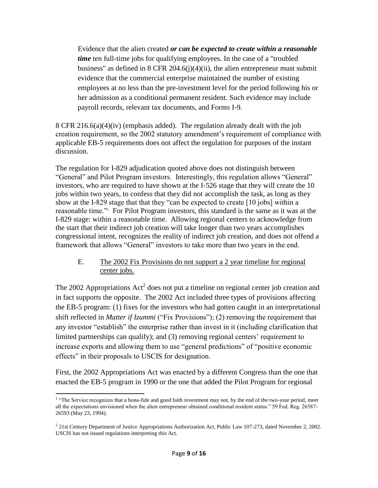Evidence that the alien created *or can be expected to create within a reasonable time* ten full-time jobs for qualifying employees. In the case of a "troubled" business" as defined in 8 CFR 204.6(j)(4)(ii), the alien entrepreneur must submit evidence that the commercial enterprise maintained the number of existing employees at no less than the pre-investment level for the period following his or her admission as a conditional permanent resident. Such evidence may include payroll records, relevant tax documents, and Forms I-9.

8 CFR 216.6(a)(4)(iv) (emphasis added). The regulation already dealt with the job creation requirement, so the 2002 statutory amendment's requirement of compliance with applicable EB-5 requirements does not affect the regulation for purposes of the instant discussion.

The regulation for I-829 adjudication quoted above does not distinguish between "General" and Pilot Program investors. Interestingly, this regulation allows "General" investors, who are required to have shown at the I-526 stage that they will create the 10 jobs within two years, to confess that they did not accomplish the task, as long as they show at the I-829 stage that that they "can be expected to create  $[10 \text{ jobs}]$  within a reasonable time."<sup>1</sup> For Pilot Program investors, this standard is the same as it was at the I-829 stage: within a reasonable time. Allowing regional centers to acknowledge from the start that their indirect job creation will take longer than two years accomplishes congressional intent, recognizes the reality of indirect job creation, and does not offend a framework that allows "General" investors to take more than two years in the end.

#### E. The 2002 Fix Provisions do not support a 2 year timeline for regional center jobs.

The 2002 Appropriations  $Act^2$  does not put a timeline on regional center job creation and in fact supports the opposite. The 2002 Act included three types of provisions affecting the EB-5 program: (1) fixes for the investors who had gotten caught in an interpretational shift reflected in *Matter if Izummi* ("Fix Provisions"); (2) removing the requirement that any investor "establish" the enterprise rather than invest in it (including clarification that limited partnerships can qualify); and (3) removing regional centers' requirement to increase exports and allowing them to use "general predictions" of "positive economic effects" in their proposals to USCIS for designation.

First, the 2002 Appropriations Act was enacted by a different Congress than the one that enacted the EB-5 program in 1990 or the one that added the Pilot Program for regional

<sup>&</sup>lt;sup>1</sup> "The Service recognizes that a bona-fide and good faith investment may not, by the end of the two-year period, meet all the expectations envisioned when the alien entrepreneur obtained conditional resident status." 59 Fed. Reg. 26587-26593 (May 23, 1994).

<sup>&</sup>lt;sup>2</sup> 21st Century Department of Justice Appropriations Authorization Act, Public Law 107-273, dated November 2, 2002. USCIS has not issued regulations interpreting this Act.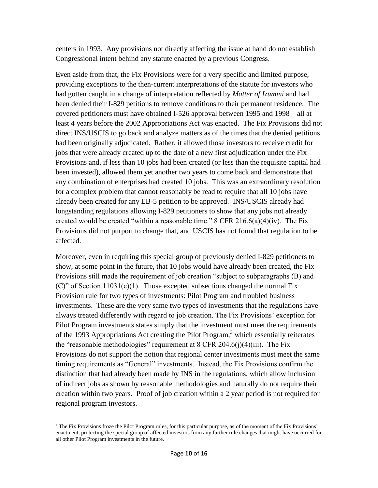centers in 1993. Any provisions not directly affecting the issue at hand do not establish Congressional intent behind any statute enacted by a previous Congress.

Even aside from that, the Fix Provisions were for a very specific and limited purpose, providing exceptions to the then-current interpretations of the statute for investors who had gotten caught in a change of interpretation reflected by *Matter of Izummi* and had been denied their I-829 petitions to remove conditions to their permanent residence. The covered petitioners must have obtained I-526 approval between 1995 and 1998—all at least 4 years before the 2002 Appropriations Act was enacted. The Fix Provisions did not direct INS/USCIS to go back and analyze matters as of the times that the denied petitions had been originally adjudicated. Rather, it allowed those investors to receive credit for jobs that were already created up to the date of a new first adjudication under the Fix Provisions and, if less than 10 jobs had been created (or less than the requisite capital had been invested), allowed them yet another two years to come back and demonstrate that any combination of enterprises had created 10 jobs. This was an extraordinary resolution for a complex problem that cannot reasonably be read to require that all 10 jobs have already been created for any EB-5 petition to be approved. INS/USCIS already had longstanding regulations allowing I-829 petitioners to show that any jobs not already created would be created "within a reasonable time." 8 CFR  $216.6(a)(4)(iv)$ . The Fix Provisions did not purport to change that, and USCIS has not found that regulation to be affected.

Moreover, even in requiring this special group of previously denied I-829 petitioners to show, at some point in the future, that 10 jobs would have already been created, the Fix Provisions still made the requirement of job creation "subject to subparagraphs (B) and (C)" of Section  $11031(c)(1)$ . Those excepted subsections changed the normal Fix Provision rule for two types of investments: Pilot Program and troubled business investments. These are the very same two types of investments that the regulations have always treated differently with regard to job creation. The Fix Provisions' exception for Pilot Program investments states simply that the investment must meet the requirements of the 1993 Appropriations Act creating the Pilot Program,<sup>3</sup> which essentially reiterates the "reasonable methodologies" requirement at  $8$  CFR 204.6(j)(4)(iii). The Fix Provisions do not support the notion that regional center investments must meet the same timing requirements as "General" investments. Instead, the Fix Provisions confirm the distinction that had already been made by INS in the regulations, which allow inclusion of indirect jobs as shown by reasonable methodologies and naturally do not require their creation within two years. Proof of job creation within a 2 year period is not required for regional program investors.

 $\overline{\phantom{a}}$ <sup>3</sup> The Fix Provisions froze the Pilot Program rules, for this particular purpose, as of the moment of the Fix Provisions' enactment, protecting the special group of affected investors from any further rule changes that might have occurred for all other Pilot Program investments in the future.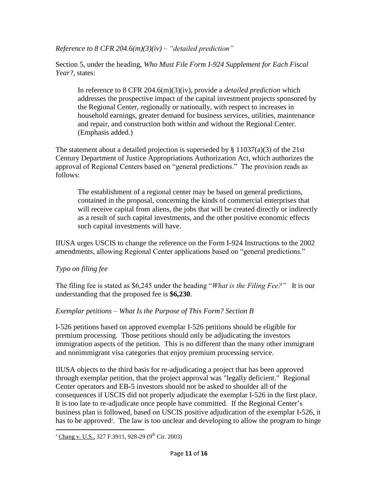*Reference to 8 CFR 204.6(m)(3)(iv) – "detailed prediction"*

Section 5, under the heading, *Who Must File Form I-924 Supplement for Each Fiscal Year?*, states:

In reference to 8 CFR 204.6(m)(3)(iv), provide a *detailed prediction* which addresses the prospective impact of the capital investment projects sponsored by the Regional Center, regionally or nationally, with respect to increases in household earnings, greater demand for business services, utilities, maintenance and repair, and construction both within and without the Regional Center. (Emphasis added.)

The statement about a detailed projection is superseded by  $\S 11037(a)(3)$  of the 21st Century Department of Justice Appropriations Authorization Act, which authorizes the approval of Regional Centers based on "general predictions." The provision reads as follows:

The establishment of a regional center may be based on general predictions, contained in the proposal, concerning the kinds of commercial enterprises that will receive capital from aliens, the jobs that will be created directly or indirectly as a result of such capital investments, and the other positive economic effects such capital investments will have.

IIUSA urges USCIS to change the reference on the Form I-924 Instructions to the 2002 amendments, allowing Regional Center applications based on "general predictions."

## *Typo on filing fee*

The filing fee is stated as \$6,245 under the heading "*What is the Filing Fee?*" It is our understanding that the proposed fee is **\$6,230**.

## *Exemplar petitions – What Is the Purpose of This Form? Section B*

I-526 petitions based on approved exemplar I-526 petitions should be eligible for premium processing. Those petitions should only be adjudicating the investors immigration aspects of the petition. This is no different than the many other immigrant and nonimmigrant visa categories that enjoy premium processing service.

IIUSA objects to the third basis for re-adjudicating a project that has been approved through exemplar petition, that the project approval was "legally deficient." Regional Center operators and EB-5 investors should not be asked to shoulder all of the consequences if USCIS did not properly adjudicate the exemplar I-526 in the first place. It is too late to re-adjudicate once people have committed. If the Regional Center's business plan is followed, based on USCIS positive adjudication of the exemplar I-526, it has to be approved<sup>4</sup>. The law is too unclear and developing to allow the program to hinge

 $\overline{\phantom{a}}$  $4 \underline{\text{Chang v. U.S., }} 327 \text{ F.3911, } 928\text{-}29 \text{ (9}^{\text{th}} \text{ Cir. } 2003)$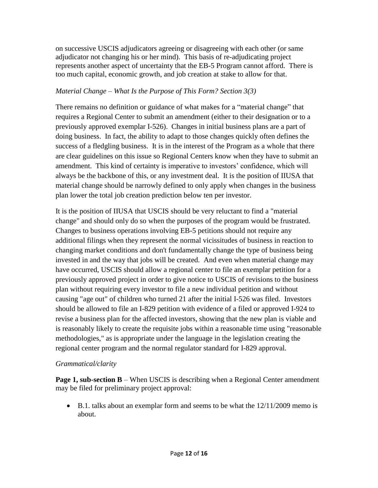on successive USCIS adjudicators agreeing or disagreeing with each other (or same adjudicator not changing his or her mind). This basis of re-adjudicating project represents another aspect of uncertainty that the EB-5 Program cannot afford. There is too much capital, economic growth, and job creation at stake to allow for that.

## *Material Change – What Is the Purpose of This Form? Section 3(3)*

There remains no definition or guidance of what makes for a "material change" that requires a Regional Center to submit an amendment (either to their designation or to a previously approved exemplar I-526). Changes in initial business plans are a part of doing business. In fact, the ability to adapt to those changes quickly often defines the success of a fledgling business. It is in the interest of the Program as a whole that there are clear guidelines on this issue so Regional Centers know when they have to submit an amendment. This kind of certainty is imperative to investors' confidence, which will always be the backbone of this, or any investment deal. It is the position of IIUSA that material change should be narrowly defined to only apply when changes in the business plan lower the total job creation prediction below ten per investor.

It is the position of IIUSA that USCIS should be very reluctant to find a "material change" and should only do so when the purposes of the program would be frustrated. Changes to business operations involving EB-5 petitions should not require any additional filings when they represent the normal vicissitudes of business in reaction to changing market conditions and don't fundamentally change the type of business being invested in and the way that jobs will be created. And even when material change may have occurred, USCIS should allow a regional center to file an exemplar petition for a previously approved project in order to give notice to USCIS of revisions to the business plan without requiring every investor to file a new individual petition and without causing "age out" of children who turned 21 after the initial I-526 was filed. Investors should be allowed to file an I-829 petition with evidence of a filed or approved I-924 to revise a business plan for the affected investors, showing that the new plan is viable and is reasonably likely to create the requisite jobs within a reasonable time using "reasonable methodologies," as is appropriate under the language in the legislation creating the regional center program and the normal regulator standard for I-829 approval.

## *Grammatical/clarity*

**Page 1, sub-section B** – When USCIS is describing when a Regional Center amendment may be filed for preliminary project approval:

 $\bullet$  B.1. talks about an exemplar form and seems to be what the  $12/11/2009$  memo is about.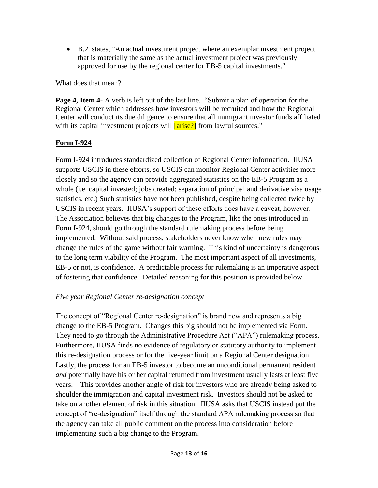B.2. states, "An actual investment project where an exemplar investment project that is materially the same as the actual investment project was previously approved for use by the regional center for EB-5 capital investments."

What does that mean?

**Page 4, Item 4**- A verb is left out of the last line. "Submit a plan of operation for the Regional Center which addresses how investors will be recruited and how the Regional Center will conduct its due diligence to ensure that all immigrant investor funds affiliated with its capital investment projects will **[arise?]** from lawful sources."

# **Form I-924**

Form I-924 introduces standardized collection of Regional Center information. IIUSA supports USCIS in these efforts, so USCIS can monitor Regional Center activities more closely and so the agency can provide aggregated statistics on the EB-5 Program as a whole (*i.e.* capital invested; jobs created; separation of principal and derivative visa usage statistics, etc.) Such statistics have not been published, despite being collected twice by USCIS in recent years. IIUSA's support of these efforts does have a caveat, however. The Association believes that big changes to the Program, like the ones introduced in Form I-924, should go through the standard rulemaking process before being implemented. Without said process, stakeholders never know when new rules may change the rules of the game without fair warning. This kind of uncertainty is dangerous to the long term viability of the Program. The most important aspect of all investments, EB-5 or not, is confidence. A predictable process for rulemaking is an imperative aspect of fostering that confidence. Detailed reasoning for this position is provided below.

# *Five year Regional Center re-designation concept*

The concept of "Regional Center re-designation" is brand new and represents a big change to the EB-5 Program. Changes this big should not be implemented via Form. They need to go through the Administrative Procedure Act ("APA") rulemaking process. Furthermore, IIUSA finds no evidence of regulatory or statutory authority to implement this re-designation process or for the five-year limit on a Regional Center designation. Lastly, the process for an EB-5 investor to become an unconditional permanent resident *and* potentially have his or her capital returned from investment usually lasts at least five years. This provides another angle of risk for investors who are already being asked to shoulder the immigration and capital investment risk. Investors should not be asked to take on another element of risk in this situation. IIUSA asks that USCIS instead put the concept of "re-designation" itself through the standard APA rulemaking process so that the agency can take all public comment on the process into consideration before implementing such a big change to the Program.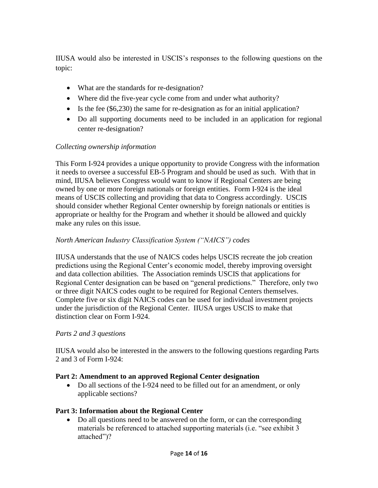IIUSA would also be interested in USCIS's responses to the following questions on the topic:

- What are the standards for re-designation?
- Where did the five-year cycle come from and under what authority?
- Is the fee (\$6,230) the same for re-designation as for an initial application?
- Do all supporting documents need to be included in an application for regional center re-designation?

## *Collecting ownership information*

This Form I-924 provides a unique opportunity to provide Congress with the information it needs to oversee a successful EB-5 Program and should be used as such. With that in mind, IIUSA believes Congress would want to know if Regional Centers are being owned by one or more foreign nationals or foreign entities. Form I-924 is the ideal means of USCIS collecting and providing that data to Congress accordingly. USCIS should consider whether Regional Center ownership by foreign nationals or entities is appropriate or healthy for the Program and whether it should be allowed and quickly make any rules on this issue.

#### *North American Industry Classification System ("NAICS") codes*

IIUSA understands that the use of NAICS codes helps USCIS recreate the job creation predictions using the Regional Center's economic model, thereby improving oversight and data collection abilities. The Association reminds USCIS that applications for Regional Center designation can be based on "general predictions." Therefore, only two or three digit NAICS codes ought to be required for Regional Centers themselves. Complete five or six digit NAICS codes can be used for individual investment projects under the jurisdiction of the Regional Center. IIUSA urges USCIS to make that distinction clear on Form I-924.

#### *Parts 2 and 3 questions*

IIUSA would also be interested in the answers to the following questions regarding Parts 2 and 3 of Form I-924:

#### **Part 2: Amendment to an approved Regional Center designation**

 Do all sections of the I-924 need to be filled out for an amendment, or only applicable sections?

#### **Part 3: Information about the Regional Center**

• Do all questions need to be answered on the form, or can the corresponding materials be referenced to attached supporting materials (i.e. "see exhibit 3 attached")?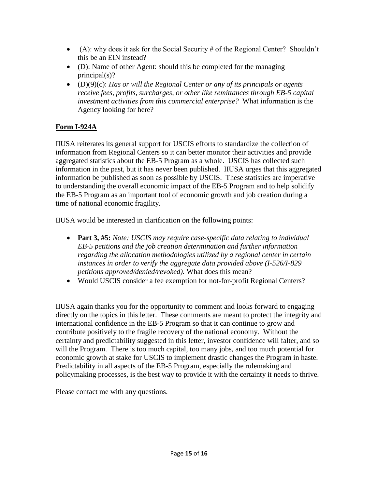- (A): why does it ask for the Social Security  $\#$  of the Regional Center? Shouldn't this be an EIN instead?
- (D): Name of other Agent: should this be completed for the managing principal(s)?
- (D)(9)(c): *Has or will the Regional Center or any of its principals or agents receive fees, profits, surcharges, or other like remittances through EB-5 capital investment activities from this commercial enterprise?* What information is the Agency looking for here?

# **Form I-924A**

IIUSA reiterates its general support for USCIS efforts to standardize the collection of information from Regional Centers so it can better monitor their activities and provide aggregated statistics about the EB-5 Program as a whole. USCIS has collected such information in the past, but it has never been published. IIUSA urges that this aggregated information be published as soon as possible by USCIS. These statistics are imperative to understanding the overall economic impact of the EB-5 Program and to help solidify the EB-5 Program as an important tool of economic growth and job creation during a time of national economic fragility.

IIUSA would be interested in clarification on the following points:

- **Part 3, #5:** *Note: USCIS may require case-specific data relating to individual EB-5 petitions and the job creation determination and further information regarding the allocation methodologies utilized by a regional center in certain instances in order to verify the aggregate data provided above (I-526/I-829 petitions approved/denied/revoked).* What does this mean?
- Would USCIS consider a fee exemption for not-for-profit Regional Centers?

IIUSA again thanks you for the opportunity to comment and looks forward to engaging directly on the topics in this letter. These comments are meant to protect the integrity and international confidence in the EB-5 Program so that it can continue to grow and contribute positively to the fragile recovery of the national economy. Without the certainty and predictability suggested in this letter, investor confidence will falter, and so will the Program. There is too much capital, too many jobs, and too much potential for economic growth at stake for USCIS to implement drastic changes the Program in haste. Predictability in all aspects of the EB-5 Program, especially the rulemaking and policymaking processes, is the best way to provide it with the certainty it needs to thrive.

Please contact me with any questions.